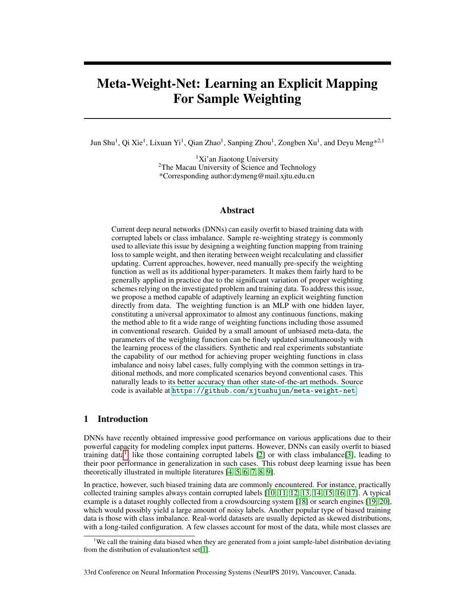# Meta-Weight-Net: Learning an Explicit Mapping For Sample Weighting

Jun Shu<sup>1</sup>, Qi Xie<sup>1</sup>, Lixuan Yi<sup>1</sup>, Qian Zhao<sup>1</sup>, Sanping Zhou<sup>1</sup>, Zongben Xu<sup>1</sup>, and Deyu Meng\*<sup>2,1</sup>

 ${}^{1}$ Xi'an Jiaotong University <sup>2</sup>The Macau University of Science and Technology \*Corresponding author:dymeng@mail.xjtu.edu.cn

# Abstract

Current deep neural networks (DNNs) can easily overfit to biased training data with corrupted labels or class imbalance. Sample re-weighting strategy is commonly used to alleviate this issue by designing a weighting function mapping from training loss to sample weight, and then iterating between weight recalculating and classifier updating. Current approaches, however, need manually pre-specify the weighting function as well as its additional hyper-parameters. It makes them fairly hard to be generally applied in practice due to the significant variation of proper weighting schemes relying on the investigated problem and training data. To address this issue, we propose a method capable of adaptively learning an explicit weighting function directly from data. The weighting function is an MLP with one hidden layer, constituting a universal approximator to almost any continuous functions, making the method able to fit a wide range of weighting functions including those assumed in conventional research. Guided by a small amount of unbiased meta-data, the parameters of the weighting function can be finely updated simultaneously with the learning process of the classifiers. Synthetic and real experiments substantiate the capability of our method for achieving proper weighting functions in class imbalance and noisy label cases, fully complying with the common settings in traditional methods, and more complicated scenarios beyond conventional cases. This naturally leads to its better accuracy than other state-of-the-art methods. Source code is available at <https://github.com/xjtushujun/meta-weight-net>.

# 1 Introduction

DNNs have recently obtained impressive good performance on various applications due to their powerful capacity for modeling complex input patterns. However, DNNs can easily overfit to biased training data<sup>1</sup>, like those containing corrupted labels [2] or with class imbalance[3], leading to their poor performance in generalization in such cases. This robust deep learning issue has been theoretically illustrated in multiple literatures [4, 5, 6, 7, 8, 9].

In practice, however, such biased training data are commonly encountered. For instance, practically collected training samples always contain corrupted labels [10, 11, 12, 13, 14, 15, 16, 17]. A typical example is a dataset roughly collected from a crowdsourcing system [18] or search engines [19, 20], which would possibly yield a large amount of noisy labels. Another popular type of biased training data is those with class imbalance. Real-world datasets are usually depicted as skewed distributions, with a long-tailed configuration. A few classes account for most of the data, while most classes are

33rd Conference on Neural Information Processing Systems (NeurIPS 2019), Vancouver, Canada.

<sup>&</sup>lt;sup>1</sup>We call the training data biased when they are generated from a joint sample-label distribution deviating from the distribution of evaluation/test set[1].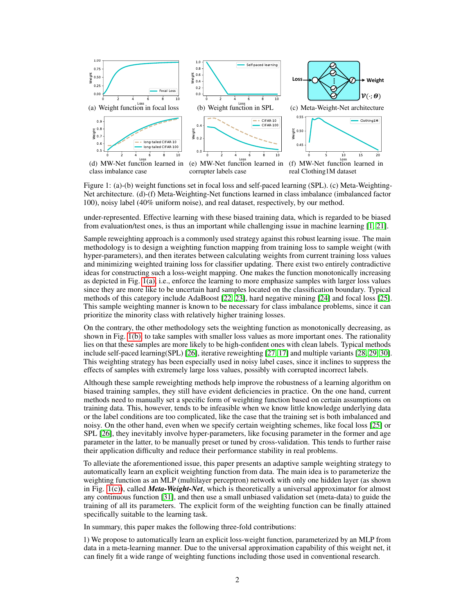

Figure 1: (a)-(b) weight functions set in focal loss and self-paced learning (SPL). (c) Meta-Weighting-Net architecture. (d)-(f) Meta-Weighting-Net functions learned in class imbalance (imbalanced factor 100), noisy label (40% uniform noise), and real dataset, respectively, by our method.

under-represented. Effective learning with these biased training data, which is regarded to be biased from evaluation/test ones, is thus an important while challenging issue in machine learning [1, 21].

Sample reweighting approach is a commonly used strategy against this robust learning issue. The main methodology is to design a weighting function mapping from training loss to sample weight (with hyper-parameters), and then iterates between calculating weights from current training loss values and minimizing weighted training loss for classifier updating. There exist two entirely contradictive ideas for constructing such a loss-weight mapping. One makes the function monotonically increasing as depicted in Fig. 1(a), i.e., enforce the learning to more emphasize samples with larger loss values since they are more like to be uncertain hard samples located on the classification boundary. Typical methods of this category include AdaBoost [22, 23], hard negative mining [24] and focal loss [25]. This sample weighting manner is known to be necessary for class imbalance problems, since it can prioritize the minority class with relatively higher training losses.

On the contrary, the other methodology sets the weighting function as monotonically decreasing, as shown in Fig. 1(b), to take samples with smaller loss values as more important ones. The rationality lies on that these samples are more likely to be high-confident ones with clean labels. Typical methods include self-paced learning(SPL) [26], iterative reweighting [27, 17] and multiple variants [28, 29, 30]. This weighting strategy has been especially used in noisy label cases, since it inclines to suppress the effects of samples with extremely large loss values, possibly with corrupted incorrect labels.

Although these sample reweighting methods help improve the robustness of a learning algorithm on biased training samples, they still have evident deficiencies in practice. On the one hand, current methods need to manually set a specific form of weighting function based on certain assumptions on training data. This, however, tends to be infeasible when we know little knowledge underlying data or the label conditions are too complicated, like the case that the training set is both imbalanced and noisy. On the other hand, even when we specify certain weighting schemes, like focal loss [25] or SPL [26], they inevitably involve hyper-parameters, like focusing parameter in the former and age parameter in the latter, to be manually preset or tuned by cross-validation. This tends to further raise their application difficulty and reduce their performance stability in real problems.

To alleviate the aforementioned issue, this paper presents an adaptive sample weighting strategy to automatically learn an explicit weighting function from data. The main idea is to parameterize the weighting function as an MLP (multilayer perceptron) network with only one hidden layer (as shown in Fig. 1(c)), called *Meta-Weight-Net*, which is theoretically a universal approximator for almost any continuous function [31], and then use a small unbiased validation set (meta-data) to guide the training of all its parameters. The explicit form of the weighting function can be finally attained specifically suitable to the learning task.

In summary, this paper makes the following three-fold contributions:

1) We propose to automatically learn an explicit loss-weight function, parameterized by an MLP from data in a meta-learning manner. Due to the universal approximation capability of this weight net, it can finely fit a wide range of weighting functions including those used in conventional research.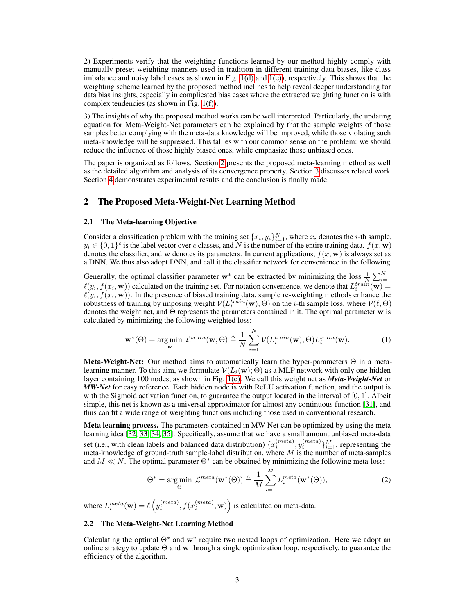2) Experiments verify that the weighting functions learned by our method highly comply with manually preset weighting manners used in tradition in different training data biases, like class imbalance and noisy label cases as shown in Fig. 1(d) and 1(e)), respectively. This shows that the weighting scheme learned by the proposed method inclines to help reveal deeper understanding for data bias insights, especially in complicated bias cases where the extracted weighting function is with complex tendencies (as shown in Fig. 1(f)).

3) The insights of why the proposed method works can be well interpreted. Particularly, the updating equation for Meta-Weight-Net parameters can be explained by that the sample weights of those samples better complying with the meta-data knowledge will be improved, while those violating such meta-knowledge will be suppressed. This tallies with our common sense on the problem: we should reduce the influence of those highly biased ones, while emphasize those unbiased ones.

The paper is organized as follows. Section 2 presents the proposed meta-learning method as well as the detailed algorithm and analysis of its convergence property. Section 3 discusses related work. Section 4 demonstrates experimental results and the conclusion is finally made.

# 2 The Proposed Meta-Weight-Net Learning Method

#### 2.1 The Meta-learning Objective

Consider a classification problem with the training set  $\{x_i, y_i\}_{i=1}^N$ , where  $x_i$  denotes the *i*-th sample,  $y_i \in \{0,1\}^c$  is the label vector over c classes, and N is the number of the entire training data.  $f(x, \mathbf{w})$ denotes the classifier, and w denotes its parameters. In current applications,  $f(x, w)$  is always set as a DNN. We thus also adopt DNN, and call it the classifier network for convenience in the following.

Generally, the optimal classifier parameter w<sup>∗</sup> can be extracted by minimizing the loss  $\frac{1}{N} \sum_{i=1}^{N} (y_i, f(x_i, \mathbf{w}))$  calculated on the training set. For notation convenience, we denote that  $L_i^{train}(\mathbf{w})$  =  $\ell(y_i, f(x_i, \mathbf{w}))$ . In the presence of biased training data, sample re-weighting methods enhance the robustness of training by imposing weight  $V(L_i^{train}(\mathbf{w}); \Theta)$  on the *i*-th sample loss, where  $V(\ell; \Theta)$ denotes the weight net, and Θ represents the parameters contained in it. The optimal parameter w is calculated by minimizing the following weighted loss:

$$
\mathbf{w}^*(\Theta) = \underset{\mathbf{w}}{\arg\min} \ \mathcal{L}^{train}(\mathbf{w}; \Theta) \triangleq \frac{1}{N} \sum_{i=1}^N \mathcal{V}(L_i^{train}(\mathbf{w}); \Theta) L_i^{train}(\mathbf{w}). \tag{1}
$$

**Meta-Weight-Net:** Our method aims to automatically learn the hyper-parameters  $\Theta$  in a metalearning manner. To this aim, we formulate  $V(L_i(\mathbf{w}); \Theta)$  as a MLP network with only one hidden layer containing 100 nodes, as shown in Fig. 1(c). We call this weight net as *Meta-Weight-Net* or *MW-Net* for easy reference. Each hidden node is with ReLU activation function, and the output is with the Sigmoid activation function, to guarantee the output located in the interval of  $[0, 1]$ . Albeit simple, this net is known as a universal approximator for almost any continuous function [31], and thus can fit a wide range of weighting functions including those used in conventional research.

Meta learning process. The parameters contained in MW-Net can be optimized by using the meta learning idea [32, 33, 34, 35]. Specifically, assume that we have a small amount unbiased meta-data set (i.e., with clean labels and balanced data distribution)  $\{x_i^{(meta)}, y_i^{(meta)}\}_{i=1}^M$ , representing the meta-knowledge of ground-truth sample-label distribution, where  $M$  is the number of meta-samples and  $M \ll N$ . The optimal parameter  $\Theta^*$  can be obtained by minimizing the following meta-loss:

$$
\Theta^* = \underset{\Theta}{\arg\min} \ \mathcal{L}^{meta}(\mathbf{w}^*(\Theta)) \triangleq \frac{1}{M} \sum_{i=1}^M L_i^{meta}(\mathbf{w}^*(\Theta)), \tag{2}
$$

where  $L_i^{meta}(\mathbf{w}) = \ell\left(y_i^{(meta)}, f(x_i^{(meta)}, \mathbf{w})\right)$  is calculated on meta-data.

#### 2.2 The Meta-Weight-Net Learning Method

Calculating the optimal  $\Theta^*$  and w<sup>\*</sup> require two nested loops of optimization. Here we adopt an online strategy to update  $\Theta$  and w through a single optimization loop, respectively, to guarantee the efficiency of the algorithm.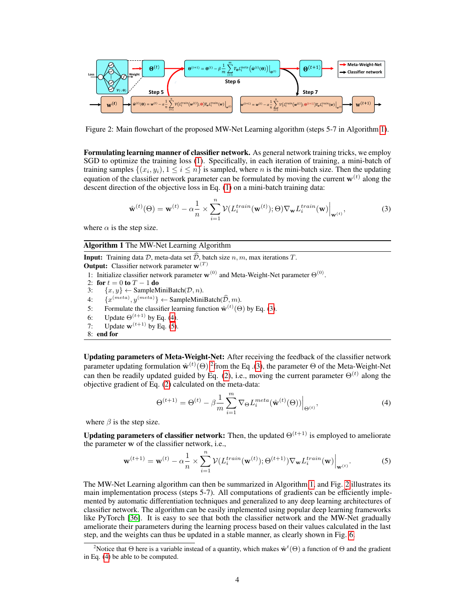

Figure 2: Main flowchart of the proposed MW-Net Learning algorithm (steps 5-7 in Algorithm 1).

Formulating learning manner of classifier network. As general network training tricks, we employ SGD to optimize the training loss (1). Specifically, in each iteration of training, a mini-batch of training samples  $\{(x_i, y_i), 1 \le i \le n\}$  is sampled, where *n* is the mini-batch size. Then the updating equation of the classifier network parameter can be formulated by moving the current  $w^{(t)}$  along the descent direction of the objective loss in Eq. (1) on a mini-batch training data:

$$
\hat{\mathbf{w}}^{(t)}(\Theta) = \mathbf{w}^{(t)} - \alpha \frac{1}{n} \times \sum_{i=1}^{n} \mathcal{V}(L_i^{train}(\mathbf{w}^{(t)}); \Theta) \nabla_{\mathbf{w}} L_i^{train}(\mathbf{w}) \Big|_{\mathbf{w}^{(t)}},
$$
(3)

where  $\alpha$  is the step size.

#### Algorithm 1 The MW-Net Learning Algorithm

**Input:** Training data D, meta-data set  $\widehat{\mathcal{D}}$ , batch size n, m, max iterations T. **Output:** Classifier network parameter  $w^{(T)}$ 1: Initialize classifier network parameter  $\mathbf{w}^{(0)}$  and Meta-Weight-Net parameter  $\Theta^{(0)}$ . 2: for  $t = 0$  to  $T - 1$  do 3:  $\{x, y\} \leftarrow$  SampleMiniBatch( $\mathcal{D}, n$ ). 4:  $\{x^{(meta)}, y^{(meta)}\} \leftarrow \text{SampleMinBatch}(\widehat{\mathcal{D}}, m).$ 5: Formulate the classifier learning function  $\hat{\mathbf{w}}^{(t)}(\Theta)$  by Eq. (3). 6: Update  $\Theta^{(t+1)}$  by Eq. (4). 7: Update  $\mathbf{w}^{(t+1)}$  by Eq. (5). 8: end for

Updating parameters of Meta-Weight-Net: After receiving the feedback of the classifier network parameter updating formulation  $\hat{w}^{(t)}(\Theta)$  <sup>2</sup> from the Eq. (3), the parameter  $\Theta$  of the Meta-Weight-Net can then be readily updated guided by Eq. (2), i.e., moving the current parameter  $\Theta^{(t)}$  along the objective gradient of Eq. (2) calculated on the meta-data:

$$
\Theta^{(t+1)} = \Theta^{(t)} - \beta \frac{1}{m} \sum_{i=1}^{m} \nabla_{\Theta} L_i^{meta}(\hat{\mathbf{w}}^{(t)}(\Theta)) \Big|_{\Theta^{(t)}},\tag{4}
$$

where  $\beta$  is the step size.

Updating parameters of classifier network: Then, the updated  $\Theta^{(t+1)}$  is employed to ameliorate the parameter w of the classifier network, i.e.,

$$
\mathbf{w}^{(t+1)} = \mathbf{w}^{(t)} - \alpha \frac{1}{n} \times \sum_{i=1}^{n} \mathcal{V}(L_i^{train}(\mathbf{w}^{(t)}); \Theta^{(t+1)}) \nabla_{\mathbf{w}} L_i^{train}(\mathbf{w}) \Big|_{\mathbf{w}^{(t)}}.
$$
(5)

The MW-Net Learning algorithm can then be summarized in Algorithm 1, and Fig. 2 illustrates its main implementation process (steps 5-7). All computations of gradients can be efficiently implemented by automatic differentiation techniques and generalized to any deep learning architectures of classifier network. The algorithm can be easily implemented using popular deep learning frameworks like PyTorch [36]. It is easy to see that both the classifier network and the MW-Net gradually ameliorate their parameters during the learning process based on their values calculated in the last step, and the weights can thus be updated in a stable manner, as clearly shown in Fig. 6.

<sup>&</sup>lt;sup>2</sup>Notice that  $\Theta$  here is a variable instead of a quantity, which makes  $\hat{\mathbf{w}}^{t}(\Theta)$  a function of  $\Theta$  and the gradient in Eq. (4) be able to be computed.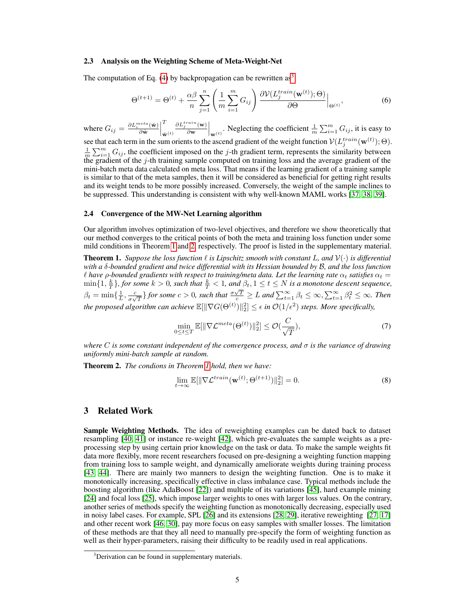#### 2.3 Analysis on the Weighting Scheme of Meta-Weight-Net

The computation of Eq. (4) by backpropagation can be rewritten as<sup>3</sup>:

$$
\Theta^{(t+1)} = \Theta^{(t)} + \frac{\alpha \beta}{n} \sum_{j=1}^{n} \left( \frac{1}{m} \sum_{i=1}^{m} G_{ij} \right) \frac{\partial V(L_j^{train}(\mathbf{w}^{(t)}); \Theta)}{\partial \Theta} \Big|_{\Theta^{(t)}},\tag{6}
$$

where  $G_{ij} = \frac{\partial L_i^{meta}(\hat{\mathbf{w}})}{\partial \hat{\mathbf{w}}}$  $\frac{\partial^{i}e^{ta}(\hat{\mathbf{w}})}{\partial \hat{\mathbf{w}}}$ T  $\hat{\mathbf{w}}^{(t)}$  $\partial L_j^{train}(\mathbf{w})$  $\frac{d^{\min}(\mathbf{w})}{d\mathbf{w}}\Big|_{\mathbf{w}^{(t)}}$ . Neglecting the coefficient  $\frac{1}{m}\sum_{i=1}^{m}G_{ij}$ , it is easy to see that each term in the sum orients to the ascend gradient of the weight function  $\mathcal{V}(L^{train}_{j}(\mathbf{w}^{(t)}); \Theta)$ .  $\frac{1}{m}\sum_{i=1}^{m} G_{ij}$ , the coefficient imposed on the j-th gradient term, represents the similarity between the gradient of the  $j$ -th training sample computed on training loss and the average gradient of the mini-batch meta data calculated on meta loss. That means if the learning gradient of a training sample is similar to that of the meta samples, then it will be considered as beneficial for getting right results and its weight tends to be more possibly increased. Conversely, the weight of the sample inclines to be suppressed. This understanding is consistent with why well-known MAML works [37, 38, 39].

#### 2.4 Convergence of the MW-Net Learning algorithm

Our algorithm involves optimization of two-level objectives, and therefore we show theoretically that our method converges to the critical points of both the meta and training loss function under some mild conditions in Theorem 1 and 2, respectively. The proof is listed in the supplementary material.

**Theorem 1.** *Suppose the loss function*  $\ell$  *is Lipschitz smooth with constant* L, and  $\mathcal{V}(\cdot)$  *is differential with a* δ*-bounded gradient and twice differential with its Hessian bounded by* B*, and the loss function*  $\ell$  have  $\rho$ -bounded gradients with respect to training/meta data. Let the learning rate  $\alpha_t$  satisfies  $\alpha_t =$  $\min\{1,\frac{k}{T}\}\text{, for some }k>0\text{, such that }\frac{k}{T}<1\text{, and }\beta_t, 1\leq t\leq N\text{ is a monotone descent sequence,}$  $\beta_t = \min\{\frac{1}{L}, \frac{c}{\sigma \sqrt{\sigma}}\}$ *o*  $\frac{c}{\sigma \sqrt{T}}$ } *for some*  $c > 0$ *, such that*  $\frac{\sigma \sqrt{T}}{c} \geq L$  *and*  $\sum_{t=1}^{\infty} \beta_t \leq \infty$ ,  $\sum_{t=1}^{\infty} \beta_t^2 \leq \infty$ *. Then* the proposed algorithm can achieve  $\mathbb{E}[\|\nabla G(\Theta^{(t)})\|_2^2] \leq \epsilon$  in  $\mathcal{O}(1/\epsilon^2)$  steps. More specifically,

$$
\min_{0 \le t \le T} \mathbb{E}[\|\nabla \mathcal{L}^{meta}(\Theta^{(t)})\|_2^2] \le \mathcal{O}(\frac{C}{\sqrt{T}}),\tag{7}
$$

*where* C *is some constant independent of the convergence process, and* σ *is the variance of drawing uniformly mini-batch sample at random.*

Theorem 2. *The condions in Theorem 1 hold, then we have:*

$$
\lim_{t \to \infty} \mathbb{E}[\|\nabla \mathcal{L}^{train}(\mathbf{w}^{(t)}; \Theta^{(t+1)})\|_2^2] = 0.
$$
\n(8)

# 3 Related Work

Sample Weighting Methods. The idea of reweighting examples can be dated back to dataset resampling [40, 41] or instance re-weight [42], which pre-evaluates the sample weights as a preprocessing step by using certain prior knowledge on the task or data. To make the sample weights fit data more flexibly, more recent researchers focused on pre-designing a weighting function mapping from training loss to sample weight, and dynamically ameliorate weights during training process [43, 44]. There are mainly two manners to design the weighting function. One is to make it monotonically increasing, specifically effective in class imbalance case. Typical methods include the boosting algorithm (like AdaBoost [22]) and multiple of its variations [45], hard example mining [24] and focal loss [25], which impose larger weights to ones with larger loss values. On the contrary, another series of methods specify the weighting function as monotonically decreasing, especially used in noisy label cases. For example, SPL [26] and its extensions [28, 29], iterative reweighting [27, 17] and other recent work [46, 30], pay more focus on easy samples with smaller losses. The limitation of these methods are that they all need to manually pre-specify the form of weighting function as well as their hyper-parameters, raising their difficulty to be readily used in real applications.

<sup>&</sup>lt;sup>3</sup>Derivation can be found in supplementary materials.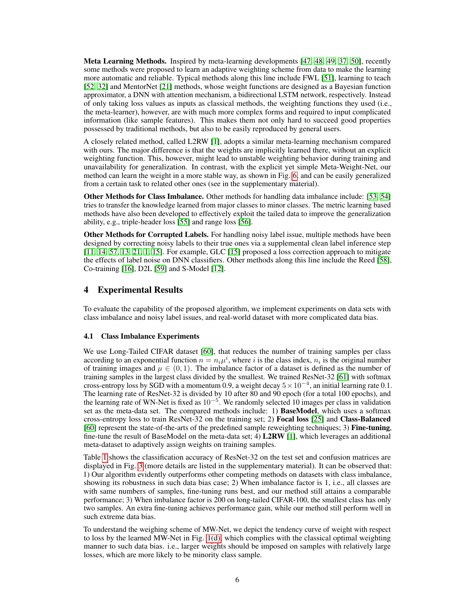Meta Learning Methods. Inspired by meta-learning developments [47, 48, 49, 37, 50], recently some methods were proposed to learn an adaptive weighting scheme from data to make the learning more automatic and reliable. Typical methods along this line include FWL [51], learning to teach [52, 32] and MentorNet [21] methods, whose weight functions are designed as a Bayesian function approximator, a DNN with attention mechanism, a bidirectional LSTM network, respectively. Instead of only taking loss values as inputs as classical methods, the weighting functions they used (i.e., the meta-learner), however, are with much more complex forms and required to input complicated information (like sample features). This makes them not only hard to succeed good properties possessed by traditional methods, but also to be easily reproduced by general users.

A closely related method, called L2RW [1], adopts a similar meta-learning mechanism compared with ours. The major difference is that the weights are implicitly learned there, without an explicit weighting function. This, however, might lead to unstable weighting behavior during training and unavailability for generalization. In contrast, with the explicit yet simple Meta-Weight-Net, our method can learn the weight in a more stable way, as shown in Fig. 6, and can be easily generalized from a certain task to related other ones (see in the supplementary material).

Other Methods for Class Imbalance. Other methods for handling data imbalance include: [53, 54] tries to transfer the knowledge learned from major classes to minor classes. The metric learning based methods have also been developed to effectively exploit the tailed data to improve the generalization ability, e.g., triple-header loss [55] and range loss [56].

Other Methods for Corrupted Labels. For handling noisy label issue, multiple methods have been designed by correcting noisy labels to their true ones via a supplemental clean label inference step [11, 14, 57, 13, 21, 1, 15]. For example, GLC [15] proposed a loss correction approach to mitigate the effects of label noise on DNN classifiers. Other methods along this line include the Reed [58], Co-training [16], D2L [59] and S-Model [12].

# 4 Experimental Results

To evaluate the capability of the proposed algorithm, we implement experiments on data sets with class imbalance and noisy label issues, and real-world dataset with more complicated data bias.

## 4.1 Class Imbalance Experiments

We use Long-Tailed CIFAR dataset [60], that reduces the number of training samples per class according to an exponential function  $n = n_i \mu^i$ , where i is the class index,  $n_i$  is the original number of training images and  $\mu \in (0, 1)$ . The imbalance factor of a dataset is defined as the number of training samples in the largest class divided by the smallest. We trained ResNet-32 [61] with softmax cross-entropy loss by SGD with a momentum 0.9, a weight decay  $5 \times 10^{-4}$ , an initial learning rate 0.1. The learning rate of ResNet-32 is divided by 10 after 80 and 90 epoch (for a total 100 epochs), and the learning rate of WN-Net is fixed as  $10^{-5}$ . We randomly selected 10 images per class in validation set as the meta-data set. The compared methods include: 1) BaseModel, which uses a softmax cross-entropy loss to train ResNet-32 on the training set; 2) Focal loss [25] and Class-Balanced [60] represent the state-of-the-arts of the predefined sample reweighting techniques; 3) Fine-tuning, fine-tune the result of BaseModel on the meta-data set; 4) L2RW [1], which leverages an additional meta-dataset to adaptively assign weights on training samples.

Table 1 shows the classification accuracy of ResNet-32 on the test set and confusion matrices are displayed in Fig. 3 (more details are listed in the supplementary material). It can be observed that: 1) Our algorithm evidently outperforms other competing methods on datasets with class imbalance, showing its robustness in such data bias case; 2) When imbalance factor is 1, i.e., all classes are with same numbers of samples, fine-tuning runs best, and our method still attains a comparable performance; 3) When imbalance factor is 200 on long-tailed CIFAR-100, the smallest class has only two samples. An extra fine-tuning achieves performance gain, while our method still perform well in such extreme data bias.

To understand the weighing scheme of MW-Net, we depict the tendency curve of weight with respect to loss by the learned MW-Net in Fig. 1(d), which complies with the classical optimal weighting manner to such data bias. i.e., larger weights should be imposed on samples with relatively large losses, which are more likely to be minority class sample.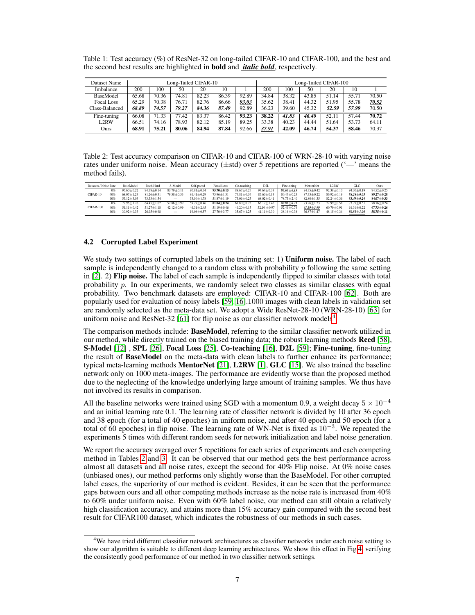|              | the second best results are highlighted in <b>bold</b> and <i>italic bold</i> , respectively. |                       |
|--------------|-----------------------------------------------------------------------------------------------|-----------------------|
| Dataset Name | Long-Tailed CIFAR-10                                                                          | Long-Tailed CIFAR-100 |

Table 1: Test accuracy (%) of ResNet-32 on long-tailed CIFAR-10 and CIFAR-100, and the best and

| Dataset Name      |       | Long-Tailed CIFAR-10 |       |       |       |       |       | Long-Tailed CIFAR-100 |       |       |       |       |
|-------------------|-------|----------------------|-------|-------|-------|-------|-------|-----------------------|-------|-------|-------|-------|
| Imbalance         | 200   | 100                  | 50    | 20    | 10    |       | 200   | 100                   | 50    | 20    | 10    |       |
| <b>BaseModel</b>  | 65.68 | $70.\overline{36}$   | 74.81 | 82.23 | 86.39 | 92.89 | 34.84 | 38.32                 | 43.85 | 51.14 | 55.71 | 70.50 |
| <b>Focal Loss</b> | 65.29 | 70.38                | 76.71 | 82.76 | 86.66 | 93.03 | 35.62 | 38.41                 | 44.32 | 51.95 | 55.78 | 70.52 |
| Class-Balanced    | 68.89 | 74.57                | 79.27 | 84.36 | 87.49 | 92.89 | 36.23 | 39.60                 | 45.32 | 52.59 | 57.99 | 70.50 |
| Fine-tuning       | 66.08 | 71.33                | 77.42 | 83.37 | 86.42 | 93.23 | 38.22 | 41.83                 | 46.40 | 52.11 | 57.44 | 70.72 |
| L2RW              | 66.51 | 74.16                | 78.93 | 82.12 | 85.19 | 89.25 | 33.38 | 40.23                 | 44.44 | 51.64 | 53.73 | 64.11 |
| Ours              | 68.91 | 75.21                | 80.06 | 84.94 | 87.84 | 92.66 | 37.91 | 42.09                 | 46.74 | 54.37 | 58.46 | 70.37 |

Table 2: Test accuracy comparison on CIFAR-10 and CIFAR-100 of WRN-28-10 with varying noise rates under uniform noise. Mean accuracy  $(\pm \text{std})$  over 5 repetitions are reported  $(\text{--}\text{ }^{\cdot}$  means the method fails).

| Datasets / Noise Rate |       | BaseModel        | Reed-Hard        | S-Model                  | Self-paced       | Focal Loss       | Co-teaching      | D <sub>2</sub> L | Fine-tining      | MentorNet        | L <sub>2</sub> RW | GLC            | Ours           |
|-----------------------|-------|------------------|------------------|--------------------------|------------------|------------------|------------------|------------------|------------------|------------------|-------------------|----------------|----------------|
|                       | $0\%$ | $95.60 + 0.22$   | $94.38 + 0.14$   | $83.79 + 0.11$           | $90.81 + 0.34$   | $95.70 + 0.15$   | $88.67 + 0.25$   | $94.64 + 0.33$   | $95.65 + 0.15$   | $94.35 + 0.42$   | $92.38 + 0.10$    | $94.30 + 0.19$ | $94.52 + 0.25$ |
| CIFAR-10              | 40%   | $68.07 \pm 1.23$ | $81.26 \pm 0.51$ | $79.58 + 0.33$           | $86.41 + 0.29$   | $75.96 \pm 1.31$ | $74.81 \pm 0.34$ | $85.60 + 0.13$   | $80.47 + 0.25$   | $87.33 + 0.22$   | $86.92 \pm 0.19$  | $88.28 + 0.03$ | $89.27 + 0.28$ |
|                       | 60%   | $53.12 \pm 3.03$ | $73.53 + 1.54$   | $\overline{\phantom{0}}$ | $53.10 \pm 1.78$ | $51.87 \pm 1.19$ | $73.06 + 0.25$   | $68.02 \pm 0.41$ | $78.75 + 2.40$   | $82.80 + 1.35$   | $82.24 + 0.36$    | $83.49 + 0.24$ | $84.07 + 0.33$ |
|                       | $0\%$ | $79.95 + 1.26$   | $64.45 + 1.02$   | $52.86 + 0.99$           | $59.79 + 0.46$   | $81.04 + 0.24$   | $61.80 + 0.25$   | $66.17 \pm 1.42$ | $80.88 + 0.21$   | $73.26 + 1.23$   | $72.99 + 0.58$    | $73.75 + 0.51$ | $78.76 + 0.24$ |
| CIFAR-100             | 40%   | $51.11 \pm 0.42$ | $51.27 \pm 1.18$ | $42.12 + 0.99$           | $46.31 + 2.45$   | $51.19 + 0.46$   | $46.20 + 0.15$   | $52.10 \pm 0.97$ | $52.49 + 0.74$   | $61.39 + 3.99$   | $60.79 + 0.91$    | $61.31 + 0.22$ | $67.73 + 0.26$ |
|                       | 60%   | $30.92 + 0.33$   | $26.95 + 0.98$   | $\qquad \qquad -$        | $19.08 + 0.57$   | $27.70 + 3.77$   | $35.67 \pm 1.25$ | $41.11 \pm 0.30$ | $38.16 \pm 0.38$ | $36.87 \pm 1.47$ | $48.15 + 0.34$    | $50.81 + 1.00$ | $58.75 + 0.11$ |

## 4.2 Corrupted Label Experiment

We study two settings of corrupted labels on the training set: 1) Uniform noise. The label of each sample is independently changed to a random class with probability  $p$  following the same setting in  $[2]$ . 2) **Flip noise.** The label of each sample is independently flipped to similar classes with total probability  $p$ . In our experiments, we randomly select two classes as similar classes with equal probability. Two benchmark datasets are employed: CIFAR-10 and CIFAR-100 [62]. Both are popularly used for evaluation of noisy labels [59, 16].1000 images with clean labels in validation set are randomly selected as the meta-data set. We adopt a Wide ResNet-28-10 (WRN-28-10) [63] for uniform noise and ResNet-32 [61] for flip noise as our classifier network models<sup>4</sup>.

The comparison methods include: BaseModel, referring to the similar classifier network utilized in our method, while directly trained on the biased training data; the robust learning methods Reed [58], S-Model [12] , SPL [26], Focal Loss [25], Co-teaching [16], D2L [59]; Fine-tuning, fine-tuning the result of BaseModel on the meta-data with clean labels to further enhance its performance; typical meta-learning methods **MentorNet** [21], **L2RW** [1], **GLC** [15]. We also trained the baseline network only on 1000 meta-images. The performance are evidently worse than the proposed method due to the neglecting of the knowledge underlying large amount of training samples. We thus have not involved its results in comparison.

All the baseline networks were trained using SGD with a momentum 0.9, a weight decay  $5 \times 10^{-4}$ and an initial learning rate 0.1. The learning rate of classifier network is divided by 10 after 36 epoch and 38 epoch (for a total of 40 epoches) in uniform noise, and after 40 epoch and 50 epoch (for a total of 60 epoches) in flip noise. The learning rate of WN-Net is fixed as  $10^{-3}$ . We repeated the experiments 5 times with different random seeds for network initialization and label noise generation.

We report the accuracy averaged over 5 repetitions for each series of experiments and each competing method in Tables 2 and 3. It can be observed that our method gets the best performance across almost all datasets and all noise rates, except the second for  $40\%$  Flip noise. At  $0\%$  noise cases (unbiased ones), our method performs only slightly worse than the BaseModel. For other corrupted label cases, the superiority of our method is evident. Besides, it can be seen that the performance gaps between ours and all other competing methods increase as the noise rate is increased from 40% to 60% under uniform noise. Even with 60% label noise, our method can still obtain a relatively high classification accuracy, and attains more than 15% accuracy gain compared with the second best result for CIFAR100 dataset, which indicates the robustness of our methods in such cases.

<sup>4</sup>We have tried different classifier network architectures as classifier networks under each noise setting to show our algorithm is suitable to different deep learning architectures. We show this effect in Fig.4, verifying the consistently good performance of our method in two classifier network settings.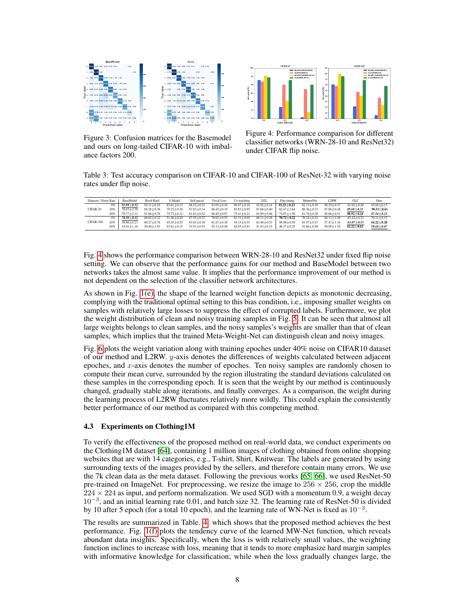

Figure 3: Confusion matrices for the Basemodel and ours on long-tailed CIFAR-10 with imbalance factors 200.



Figure 4: Performance comparison for different classifier networks (WRN-28-10 and ResNet32) under CIFAR flip noise.

Table 3: Test accuracy comparison on CIFAR-10 and CIFAR-100 of ResNet-32 with varying noise rates under flip noise.

| Datasets / Noise Rate |     | BaseModel        | Reed-Hard        | S-Model        | Self-paced     | Focal Loss       | Co-teaching      | D <sub>2</sub> L | Fine-tining      | MentorNet        | L2RW             | GLC            | Ours           |
|-----------------------|-----|------------------|------------------|----------------|----------------|------------------|------------------|------------------|------------------|------------------|------------------|----------------|----------------|
|                       | 0%  | $92.89 + 0.32$   | $92.31 + 0.25$   | $83.61 + 0.13$ | $88.52 + 0.21$ | $93.03 + 0.16$   | $89.87 + 0.10$   | $92.02 + 0.14$   | $93.23 + 0.23$   | $92.13 + 0.30$   | $89.25 + 0.37$   | $91.02 + 0.20$ | $92.04 + 0.15$ |
| CIFAR-10              | 20% | $76.83 + 2.30$   | $88.28 + 0.36$   | $79.25 + 0.30$ | $87.03 + 0.34$ | $86.45 + 0.19$   | $82.83 + 0.85$   | $87.66 \pm 0.40$ | $82.47 + 3.64$   | $86.36 + 0.31$   | $87.86 + 0.36$   | $89.68 + 0.33$ | $90.33 + 0.61$ |
|                       | 40% | $70.77 + 2.31$   | $81.06 + 0.76$   | $75.73 + 0.32$ | $81.63 + 0.52$ | $80.45 + 0.97$   | $75.41 + 0.21$   | $83.89 + 0.46$   | $74.07 \pm 1.56$ | $81.76 + 0.28$   | $85.66 + 0.51$   | $88.92 + 0.24$ | $87.54 + 0.23$ |
|                       | 0%  | $70.50 + 0.12$   | $69.02 + 0.32$   | $51.46 + 0.20$ | $67.55 + 0.27$ | $70.02 + 0.53$   | $63.31 + 0.05$   | $68.11 + 0.26$   | $70.72 + 0.22$   | $70.24 + 0.21$   | $64.11 \pm 1.09$ | $65.42 + 0.23$ | $70.11 + 0.33$ |
| CIFAR-100             | 20% | $50.86 + 0.27$   | $60.27 + 0.76$   | $45.45 + 0.25$ | $63.63 + 0.30$ | $61.87 + 0.30$   | $54.13 + 0.55$   | $63.48 + 0.53$   | $56.98 + 0.50$   | $61.97 \pm 0.47$ | $57.47 \pm 1.16$ | $63.07 + 0.53$ | $64.22 + 0.28$ |
|                       | 40% | $43.01 \pm 1.16$ | $50.40 \pm 1.01$ | $43.81 + 0.15$ | $53.51 + 0.53$ | $54.13 \pm 0.40$ | $44.85 \pm 0.81$ | $51.83 \pm 0.33$ | $46.37 + 0.25$   | $52.66 + 0.56$   | $50.98 + 1.55$   | $62.22 + 0.62$ | $58.64 + 0.47$ |

Fig. 4 shows the performance comparison between WRN-28-10 and ResNet32 under fixed flip noise setting. We can observe that the performance gains for our method and BaseModel between two networks takes the almost same value. It implies that the performance improvement of our method is not dependent on the selection of the classifier network architectures.

As shown in Fig. 1(e), the shape of the learned weight function depicts as monotonic decreasing, complying with the traditional optimal setting to this bias condition, i.e., imposing smaller weights on samples with relatively large losses to suppress the effect of corrupted labels. Furthermore, we plot the weight distribution of clean and noisy training samples in Fig. 5. It can be seen that almost all large weights belongs to clean samples, and the noisy samples's weights are smaller than that of clean samples, which implies that the trained Meta-Weight-Net can distinguish clean and noisy images.

Fig. 6 plots the weight variation along with training epoches under 40% noise on CIFAR10 dataset of our method and L2RW. y-axis denotes the differences of weights calculated between adjacent epoches, and  $x$ -axis denotes the number of epoches. Ten noisy samples are randomly chosen to compute their mean curve, surrounded by the region illustrating the standard deviations calculated on these samples in the corresponding epoch. It is seen that the weight by our method is continuously changed, gradually stable along iterations, and finally converges. As a comparison, the weight during the learning process of L2RW fluctuates relatively more wildly. This could explain the consistently better performance of our method as compared with this competing method.

# 4.3 Experiments on Clothing1M

To verify the effectiveness of the proposed method on real-world data, we conduct experiments on the Clothing1M dataset [64], containing 1 million images of clothing obtained from online shopping websites that are with 14 categories, e.g., T-shirt, Shirt, Knitwear. The labels are generated by using surrounding texts of the images provided by the sellers, and therefore contain many errors. We use the 7k clean data as the meta dataset. Following the previous works [65, 66], we used ResNet-50 pre-trained on ImageNet. For preprocessing, we resize the image to  $256 \times 256$ , crop the middle  $224 \times 224$  as input, and perform normalization. We used SGD with a momentum 0.9, a weight decay 10<sup>−</sup><sup>3</sup> , and an initial learning rate 0.01, and batch size 32. The learning rate of ResNet-50 is divided by 10 after 5 epoch (for a total 10 epoch), and the learning rate of WN-Net is fixed as  $10^{-3}$ .

The results are summarized in Table. 4. which shows that the proposed method achieves the best performance. Fig. 1(f) plots the tendency curve of the learned MW-Net function, which reveals abundant data insights. Specifically, when the loss is with relatively small values, the weighting function inclines to increase with loss, meaning that it tends to more emphasize hard margin samples with informative knowledge for classification; while when the loss gradually changes large, the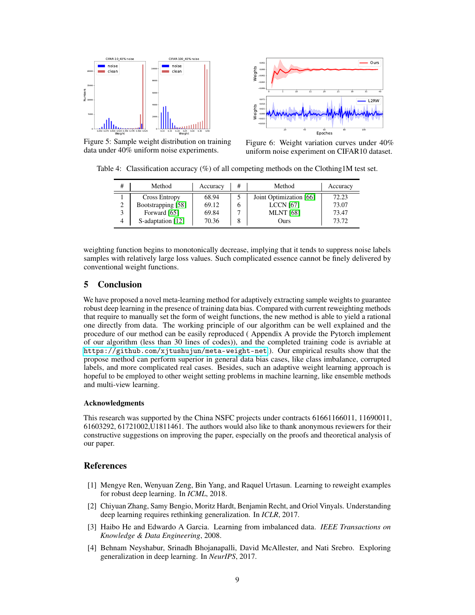

Figure 5: Sample weight distribution on training data under 40% uniform noise experiments.



Figure 6: Weight variation curves under 40% uniform noise experiment on CIFAR10 dataset.

Table 4: Classification accuracy  $(\%)$  of all competing methods on the Clothing 1M test set.

| #              | Method               | Accuracy | # | Method                  | Accuracy |  |
|----------------|----------------------|----------|---|-------------------------|----------|--|
|                | <b>Cross Entropy</b> | 68.94    |   | Joint Optimization [66] | 72.23    |  |
| $\overline{2}$ | Bootstrapping [58]   | 69.12    | h | <b>LCCN</b> [67]        | 73.07    |  |
| 3              | Forward [65]         | 69.84    |   | <b>MLNT</b> [68]        | 73.47    |  |
| 4              | S-adaptation [12]    | 70.36    | 8 | Ours                    | 73.72    |  |

weighting function begins to monotonically decrease, implying that it tends to suppress noise labels samples with relatively large loss values. Such complicated essence cannot be finely delivered by conventional weight functions.

# 5 Conclusion

We have proposed a novel meta-learning method for adaptively extracting sample weights to guarantee robust deep learning in the presence of training data bias. Compared with current reweighting methods that require to manually set the form of weight functions, the new method is able to yield a rational one directly from data. The working principle of our algorithm can be well explained and the procedure of our method can be easily reproduced ( Appendix A provide the Pytorch implement of our algorithm (less than 30 lines of codes)), and the completed training code is avriable at <https://github.com/xjtushujun/meta-weight-net>.). Our empirical results show that the propose method can perform superior in general data bias cases, like class imbalance, corrupted labels, and more complicated real cases. Besides, such an adaptive weight learning approach is hopeful to be employed to other weight setting problems in machine learning, like ensemble methods and multi-view learning.

#### Acknowledgments

This research was supported by the China NSFC projects under contracts 61661166011, 11690011, 61603292, 61721002,U1811461. The authors would also like to thank anonymous reviewers for their constructive suggestions on improving the paper, especially on the proofs and theoretical analysis of our paper.

## References

- [1] Mengye Ren, Wenyuan Zeng, Bin Yang, and Raquel Urtasun. Learning to reweight examples for robust deep learning. In *ICML*, 2018.
- [2] Chiyuan Zhang, Samy Bengio, Moritz Hardt, Benjamin Recht, and Oriol Vinyals. Understanding deep learning requires rethinking generalization. In *ICLR*, 2017.
- [3] Haibo He and Edwardo A Garcia. Learning from imbalanced data. *IEEE Transactions on Knowledge & Data Engineering*, 2008.
- [4] Behnam Neyshabur, Srinadh Bhojanapalli, David McAllester, and Nati Srebro. Exploring generalization in deep learning. In *NeurIPS*, 2017.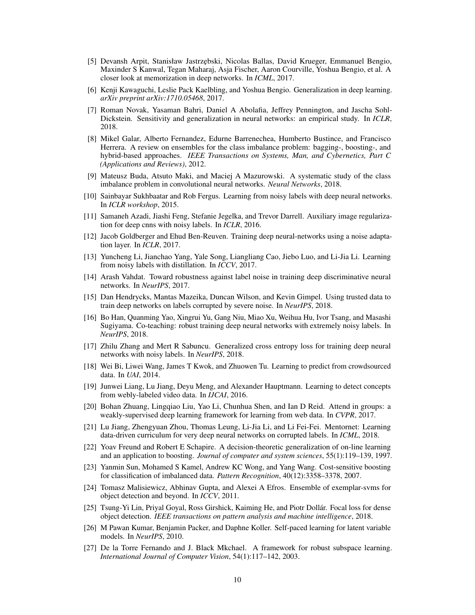- [5] Devansh Arpit, Stanisław Jastrzebski, Nicolas Ballas, David Krueger, Emmanuel Bengio, Maxinder S Kanwal, Tegan Maharaj, Asja Fischer, Aaron Courville, Yoshua Bengio, et al. A closer look at memorization in deep networks. In *ICML*, 2017.
- [6] Kenji Kawaguchi, Leslie Pack Kaelbling, and Yoshua Bengio. Generalization in deep learning. *arXiv preprint arXiv:1710.05468*, 2017.
- [7] Roman Novak, Yasaman Bahri, Daniel A Abolafia, Jeffrey Pennington, and Jascha Sohl-Dickstein. Sensitivity and generalization in neural networks: an empirical study. In *ICLR*, 2018.
- [8] Mikel Galar, Alberto Fernandez, Edurne Barrenechea, Humberto Bustince, and Francisco Herrera. A review on ensembles for the class imbalance problem: bagging-, boosting-, and hybrid-based approaches. *IEEE Transactions on Systems, Man, and Cybernetics, Part C (Applications and Reviews)*, 2012.
- [9] Mateusz Buda, Atsuto Maki, and Maciej A Mazurowski. A systematic study of the class imbalance problem in convolutional neural networks. *Neural Networks*, 2018.
- [10] Sainbayar Sukhbaatar and Rob Fergus. Learning from noisy labels with deep neural networks. In *ICLR workshop*, 2015.
- [11] Samaneh Azadi, Jiashi Feng, Stefanie Jegelka, and Trevor Darrell. Auxiliary image regularization for deep cnns with noisy labels. In *ICLR*, 2016.
- [12] Jacob Goldberger and Ehud Ben-Reuven. Training deep neural-networks using a noise adaptation layer. In *ICLR*, 2017.
- [13] Yuncheng Li, Jianchao Yang, Yale Song, Liangliang Cao, Jiebo Luo, and Li-Jia Li. Learning from noisy labels with distillation. In *ICCV*, 2017.
- [14] Arash Vahdat. Toward robustness against label noise in training deep discriminative neural networks. In *NeurIPS*, 2017.
- [15] Dan Hendrycks, Mantas Mazeika, Duncan Wilson, and Kevin Gimpel. Using trusted data to train deep networks on labels corrupted by severe noise. In *NeurIPS*, 2018.
- [16] Bo Han, Quanming Yao, Xingrui Yu, Gang Niu, Miao Xu, Weihua Hu, Ivor Tsang, and Masashi Sugiyama. Co-teaching: robust training deep neural networks with extremely noisy labels. In *NeurIPS*, 2018.
- [17] Zhilu Zhang and Mert R Sabuncu. Generalized cross entropy loss for training deep neural networks with noisy labels. In *NeurIPS*, 2018.
- [18] Wei Bi, Liwei Wang, James T Kwok, and Zhuowen Tu. Learning to predict from crowdsourced data. In *UAI*, 2014.
- [19] Junwei Liang, Lu Jiang, Deyu Meng, and Alexander Hauptmann. Learning to detect concepts from webly-labeled video data. In *IJCAI*, 2016.
- [20] Bohan Zhuang, Lingqiao Liu, Yao Li, Chunhua Shen, and Ian D Reid. Attend in groups: a weakly-supervised deep learning framework for learning from web data. In *CVPR*, 2017.
- [21] Lu Jiang, Zhengyuan Zhou, Thomas Leung, Li-Jia Li, and Li Fei-Fei. Mentornet: Learning data-driven curriculum for very deep neural networks on corrupted labels. In *ICML*, 2018.
- [22] Yoav Freund and Robert E Schapire. A decision-theoretic generalization of on-line learning and an application to boosting. *Journal of computer and system sciences*, 55(1):119–139, 1997.
- [23] Yanmin Sun, Mohamed S Kamel, Andrew KC Wong, and Yang Wang. Cost-sensitive boosting for classification of imbalanced data. *Pattern Recognition*, 40(12):3358–3378, 2007.
- [24] Tomasz Malisiewicz, Abhinav Gupta, and Alexei A Efros. Ensemble of exemplar-svms for object detection and beyond. In *ICCV*, 2011.
- [25] Tsung-Yi Lin, Priyal Goyal, Ross Girshick, Kaiming He, and Piotr Dollár. Focal loss for dense object detection. *IEEE transactions on pattern analysis and machine intelligence*, 2018.
- [26] M Pawan Kumar, Benjamin Packer, and Daphne Koller. Self-paced learning for latent variable models. In *NeurIPS*, 2010.
- [27] De la Torre Fernando and J. Black Mkchael. A framework for robust subspace learning. *International Journal of Computer Vision*, 54(1):117–142, 2003.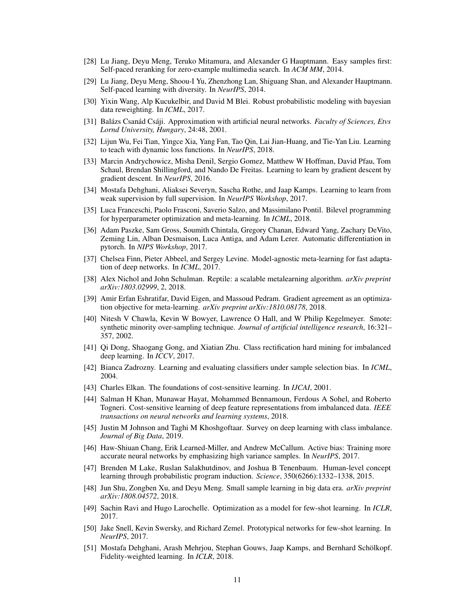- [28] Lu Jiang, Deyu Meng, Teruko Mitamura, and Alexander G Hauptmann. Easy samples first: Self-paced reranking for zero-example multimedia search. In *ACM MM*, 2014.
- [29] Lu Jiang, Deyu Meng, Shoou-I Yu, Zhenzhong Lan, Shiguang Shan, and Alexander Hauptmann. Self-paced learning with diversity. In *NeurIPS*, 2014.
- [30] Yixin Wang, Alp Kucukelbir, and David M Blei. Robust probabilistic modeling with bayesian data reweighting. In *ICML*, 2017.
- [31] Balázs Csanád Csáji. Approximation with artificial neural networks. *Faculty of Sciences, Etvs Lornd University, Hungary*, 24:48, 2001.
- [32] Lijun Wu, Fei Tian, Yingce Xia, Yang Fan, Tao Qin, Lai Jian-Huang, and Tie-Yan Liu. Learning to teach with dynamic loss functions. In *NeurIPS*, 2018.
- [33] Marcin Andrychowicz, Misha Denil, Sergio Gomez, Matthew W Hoffman, David Pfau, Tom Schaul, Brendan Shillingford, and Nando De Freitas. Learning to learn by gradient descent by gradient descent. In *NeurIPS*, 2016.
- [34] Mostafa Dehghani, Aliaksei Severyn, Sascha Rothe, and Jaap Kamps. Learning to learn from weak supervision by full supervision. In *NeurIPS Workshop*, 2017.
- [35] Luca Franceschi, Paolo Frasconi, Saverio Salzo, and Massimilano Pontil. Bilevel programming for hyperparameter optimization and meta-learning. In *ICML*, 2018.
- [36] Adam Paszke, Sam Gross, Soumith Chintala, Gregory Chanan, Edward Yang, Zachary DeVito, Zeming Lin, Alban Desmaison, Luca Antiga, and Adam Lerer. Automatic differentiation in pytorch. In *NIPS Workshop*, 2017.
- [37] Chelsea Finn, Pieter Abbeel, and Sergey Levine. Model-agnostic meta-learning for fast adaptation of deep networks. In *ICML*, 2017.
- [38] Alex Nichol and John Schulman. Reptile: a scalable metalearning algorithm. *arXiv preprint arXiv:1803.02999*, 2, 2018.
- [39] Amir Erfan Eshratifar, David Eigen, and Massoud Pedram. Gradient agreement as an optimization objective for meta-learning. *arXiv preprint arXiv:1810.08178*, 2018.
- [40] Nitesh V Chawla, Kevin W Bowyer, Lawrence O Hall, and W Philip Kegelmeyer. Smote: synthetic minority over-sampling technique. *Journal of artificial intelligence research*, 16:321– 357, 2002.
- [41] Qi Dong, Shaogang Gong, and Xiatian Zhu. Class rectification hard mining for imbalanced deep learning. In *ICCV*, 2017.
- [42] Bianca Zadrozny. Learning and evaluating classifiers under sample selection bias. In *ICML*, 2004.
- [43] Charles Elkan. The foundations of cost-sensitive learning. In *IJCAI*, 2001.
- [44] Salman H Khan, Munawar Hayat, Mohammed Bennamoun, Ferdous A Sohel, and Roberto Togneri. Cost-sensitive learning of deep feature representations from imbalanced data. *IEEE transactions on neural networks and learning systems*, 2018.
- [45] Justin M Johnson and Taghi M Khoshgoftaar. Survey on deep learning with class imbalance. *Journal of Big Data*, 2019.
- [46] Haw-Shiuan Chang, Erik Learned-Miller, and Andrew McCallum. Active bias: Training more accurate neural networks by emphasizing high variance samples. In *NeurIPS*, 2017.
- [47] Brenden M Lake, Ruslan Salakhutdinov, and Joshua B Tenenbaum. Human-level concept learning through probabilistic program induction. *Science*, 350(6266):1332–1338, 2015.
- [48] Jun Shu, Zongben Xu, and Deyu Meng. Small sample learning in big data era. *arXiv preprint arXiv:1808.04572*, 2018.
- [49] Sachin Ravi and Hugo Larochelle. Optimization as a model for few-shot learning. In *ICLR*, 2017.
- [50] Jake Snell, Kevin Swersky, and Richard Zemel. Prototypical networks for few-shot learning. In *NeurIPS*, 2017.
- [51] Mostafa Dehghani, Arash Mehrjou, Stephan Gouws, Jaap Kamps, and Bernhard Schölkopf. Fidelity-weighted learning. In *ICLR*, 2018.